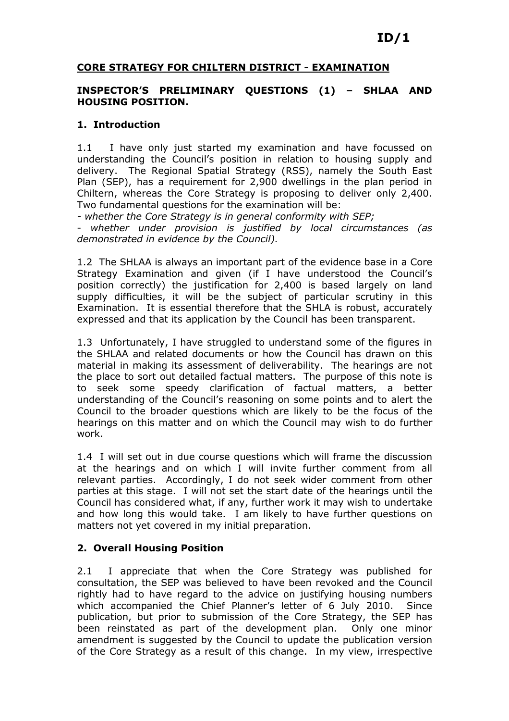# ID/1

#### CORE STRATEGY FOR CHILTERN DISTRICT - EXAMINATION

#### INSPECTOR'S PRELIMINARY QUESTIONS (1) – SHLAA AND HOUSING POSITION.

#### 1. Introduction

1.1 I have only just started my examination and have focussed on understanding the Council's position in relation to housing supply and delivery. The Regional Spatial Strategy (RSS), namely the South East Plan (SEP), has a requirement for 2,900 dwellings in the plan period in Chiltern, whereas the Core Strategy is proposing to deliver only 2,400. Two fundamental questions for the examination will be:

- whether the Core Strategy is in general conformity with SEP;

- whether under provision is justified by local circumstances (as demonstrated in evidence by the Council).

1.2 The SHLAA is always an important part of the evidence base in a Core Strategy Examination and given (if I have understood the Council's position correctly) the justification for 2,400 is based largely on land supply difficulties, it will be the subject of particular scrutiny in this Examination. It is essential therefore that the SHLA is robust, accurately expressed and that its application by the Council has been transparent.

1.3 Unfortunately, I have struggled to understand some of the figures in the SHLAA and related documents or how the Council has drawn on this material in making its assessment of deliverability. The hearings are not the place to sort out detailed factual matters. The purpose of this note is to seek some speedy clarification of factual matters, a better understanding of the Council's reasoning on some points and to alert the Council to the broader questions which are likely to be the focus of the hearings on this matter and on which the Council may wish to do further work.

1.4 I will set out in due course questions which will frame the discussion at the hearings and on which I will invite further comment from all relevant parties. Accordingly, I do not seek wider comment from other parties at this stage. I will not set the start date of the hearings until the Council has considered what, if any, further work it may wish to undertake and how long this would take. I am likely to have further questions on matters not yet covered in my initial preparation.

#### 2. Overall Housing Position

2.1 I appreciate that when the Core Strategy was published for consultation, the SEP was believed to have been revoked and the Council rightly had to have regard to the advice on justifying housing numbers which accompanied the Chief Planner's letter of 6 July 2010. Since publication, but prior to submission of the Core Strategy, the SEP has been reinstated as part of the development plan. Only one minor amendment is suggested by the Council to update the publication version of the Core Strategy as a result of this change. In my view, irrespective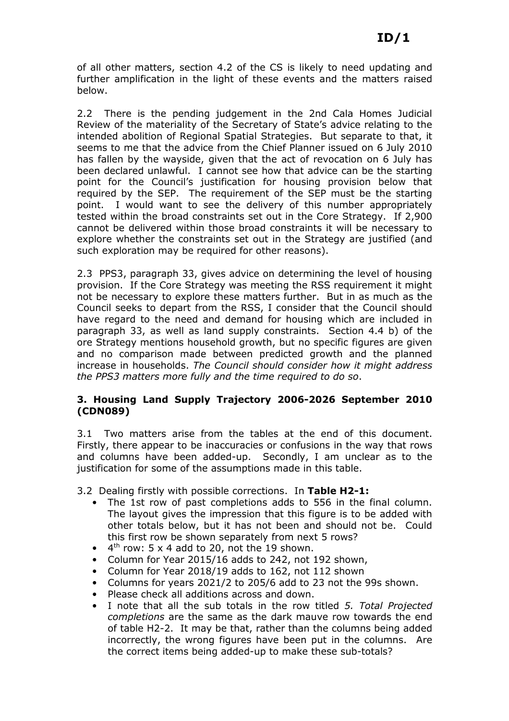of all other matters, section 4.2 of the CS is likely to need updating and further amplification in the light of these events and the matters raised below.

2.2 There is the pending judgement in the 2nd Cala Homes Judicial Review of the materiality of the Secretary of State's advice relating to the intended abolition of Regional Spatial Strategies. But separate to that, it seems to me that the advice from the Chief Planner issued on 6 July 2010 has fallen by the wayside, given that the act of revocation on 6 July has been declared unlawful. I cannot see how that advice can be the starting point for the Council's justification for housing provision below that required by the SEP. The requirement of the SEP must be the starting point. I would want to see the delivery of this number appropriately tested within the broad constraints set out in the Core Strategy. If 2,900 cannot be delivered within those broad constraints it will be necessary to explore whether the constraints set out in the Strategy are justified (and such exploration may be required for other reasons).

2.3 PPS3, paragraph 33, gives advice on determining the level of housing provision. If the Core Strategy was meeting the RSS requirement it might not be necessary to explore these matters further. But in as much as the Council seeks to depart from the RSS, I consider that the Council should have regard to the need and demand for housing which are included in paragraph 33, as well as land supply constraints. Section 4.4 b) of the ore Strategy mentions household growth, but no specific figures are given and no comparison made between predicted growth and the planned increase in households. The Council should consider how it might address the PPS3 matters more fully and the time required to do so.

## 3. Housing Land Supply Trajectory 2006-2026 September 2010 (CDN089)

3.1 Two matters arise from the tables at the end of this document. Firstly, there appear to be inaccuracies or confusions in the way that rows and columns have been added-up. Secondly, I am unclear as to the justification for some of the assumptions made in this table.

3.2 Dealing firstly with possible corrections. In Table H2-1:

- The 1st row of past completions adds to 556 in the final column. The layout gives the impression that this figure is to be added with other totals below, but it has not been and should not be. Could this first row be shown separately from next 5 rows?
- $\bullet$  4<sup>th</sup> row: 5 x 4 add to 20, not the 19 shown.
- Column for Year 2015/16 adds to 242, not 192 shown,
- Column for Year 2018/19 adds to 162, not 112 shown
- Columns for years 2021/2 to 205/6 add to 23 not the 99s shown.
- Please check all additions across and down.
- I note that all the sub totals in the row titled 5. Total Projected completions are the same as the dark mauve row towards the end of table H2-2. It may be that, rather than the columns being added incorrectly, the wrong figures have been put in the columns. Are the correct items being added-up to make these sub-totals?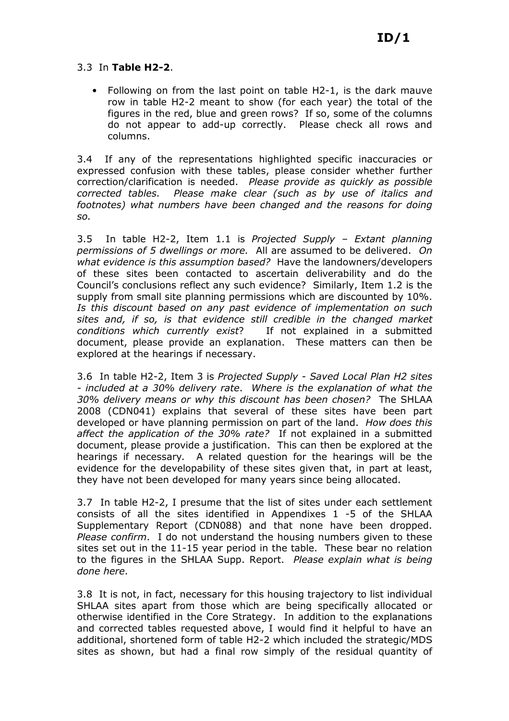## 3.3 In Table H2-2.

• Following on from the last point on table H2-1, is the dark mauve row in table H2-2 meant to show (for each year) the total of the figures in the red, blue and green rows? If so, some of the columns do not appear to add-up correctly. Please check all rows and columns.

3.4 If any of the representations highlighted specific inaccuracies or expressed confusion with these tables, please consider whether further correction/clarification is needed. Please provide as quickly as possible corrected tables. Please make clear (such as by use of italics and footnotes) what numbers have been changed and the reasons for doing so.

3.5 In table H2-2, Item 1.1 is Projected Supply – Extant planning permissions of 5 dwellings or more. All are assumed to be delivered. On what evidence is this assumption based? Have the landowners/developers of these sites been contacted to ascertain deliverability and do the Council's conclusions reflect any such evidence? Similarly, Item 1.2 is the supply from small site planning permissions which are discounted by 10%. Is this discount based on any past evidence of implementation on such sites and, if so, is that evidence still credible in the changed market conditions which currently exist? If not explained in a submitted document, please provide an explanation. These matters can then be explored at the hearings if necessary.

3.6 In table H2-2, Item 3 is Projected Supply - Saved Local Plan H2 sites - included at a 30% delivery rate. Where is the explanation of what the 30% delivery means or why this discount has been chosen? The SHLAA 2008 (CDN041) explains that several of these sites have been part developed or have planning permission on part of the land. How does this affect the application of the 30% rate? If not explained in a submitted document, please provide a justification. This can then be explored at the hearings if necessary. A related question for the hearings will be the evidence for the developability of these sites given that, in part at least, they have not been developed for many years since being allocated.

3.7 In table H2-2, I presume that the list of sites under each settlement consists of all the sites identified in Appendixes 1 -5 of the SHLAA Supplementary Report (CDN088) and that none have been dropped. Please confirm. I do not understand the housing numbers given to these sites set out in the 11-15 year period in the table. These bear no relation to the figures in the SHLAA Supp. Report. Please explain what is being done here.

3.8 It is not, in fact, necessary for this housing trajectory to list individual SHLAA sites apart from those which are being specifically allocated or otherwise identified in the Core Strategy. In addition to the explanations and corrected tables requested above, I would find it helpful to have an additional, shortened form of table H2-2 which included the strategic/MDS sites as shown, but had a final row simply of the residual quantity of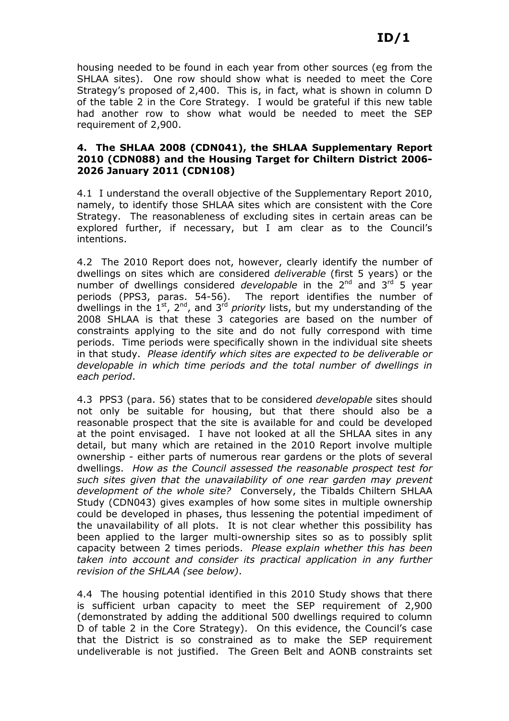housing needed to be found in each year from other sources (eg from the SHLAA sites). One row should show what is needed to meet the Core Strategy's proposed of 2,400. This is, in fact, what is shown in column D of the table 2 in the Core Strategy. I would be grateful if this new table had another row to show what would be needed to meet the SEP requirement of 2,900.

## 4. The SHLAA 2008 (CDN041), the SHLAA Supplementary Report 2010 (CDN088) and the Housing Target for Chiltern District 2006- 2026 January 2011 (CDN108)

4.1 I understand the overall objective of the Supplementary Report 2010, namely, to identify those SHLAA sites which are consistent with the Core Strategy. The reasonableness of excluding sites in certain areas can be explored further, if necessary, but I am clear as to the Council's intentions.

4.2 The 2010 Report does not, however, clearly identify the number of dwellings on sites which are considered deliverable (first 5 years) or the number of dwellings considered *developable* in the  $2^{nd}$  and  $3^{rd}$  5 year periods (PPS3, paras. 54-56). The report identifies the number of dwellings in the 1st, 2nd, and 3rd priority lists, but my understanding of the 2008 SHLAA is that these 3 categories are based on the number of constraints applying to the site and do not fully correspond with time periods. Time periods were specifically shown in the individual site sheets in that study. Please identify which sites are expected to be deliverable or developable in which time periods and the total number of dwellings in each period.

4.3 PPS3 (para. 56) states that to be considered developable sites should not only be suitable for housing, but that there should also be a reasonable prospect that the site is available for and could be developed at the point envisaged. I have not looked at all the SHLAA sites in any detail, but many which are retained in the 2010 Report involve multiple ownership - either parts of numerous rear gardens or the plots of several dwellings. How as the Council assessed the reasonable prospect test for such sites given that the unavailability of one rear garden may prevent development of the whole site? Conversely, the Tibalds Chiltern SHLAA Study (CDN043) gives examples of how some sites in multiple ownership could be developed in phases, thus lessening the potential impediment of the unavailability of all plots. It is not clear whether this possibility has been applied to the larger multi-ownership sites so as to possibly split capacity between 2 times periods. Please explain whether this has been taken into account and consider its practical application in any further revision of the SHLAA (see below).

4.4 The housing potential identified in this 2010 Study shows that there is sufficient urban capacity to meet the SEP requirement of 2,900 (demonstrated by adding the additional 500 dwellings required to column D of table 2 in the Core Strategy). On this evidence, the Council's case that the District is so constrained as to make the SEP requirement undeliverable is not justified. The Green Belt and AONB constraints set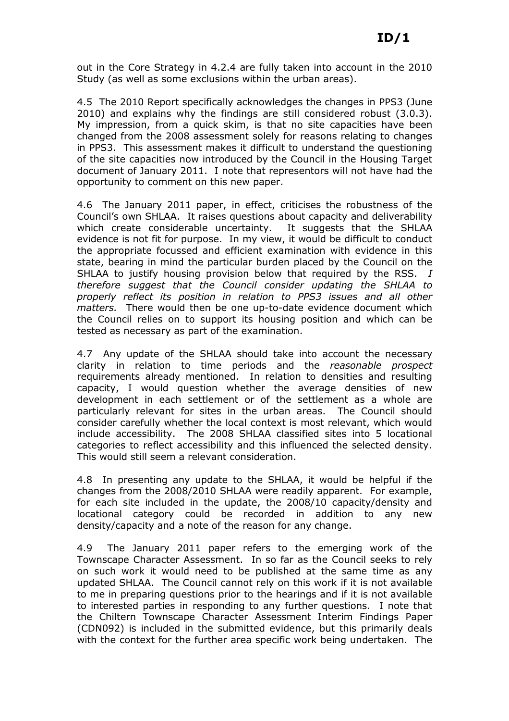out in the Core Strategy in 4.2.4 are fully taken into account in the 2010 Study (as well as some exclusions within the urban areas).

4.5 The 2010 Report specifically acknowledges the changes in PPS3 (June 2010) and explains why the findings are still considered robust (3.0.3). My impression, from a quick skim, is that no site capacities have been changed from the 2008 assessment solely for reasons relating to changes in PPS3. This assessment makes it difficult to understand the questioning of the site capacities now introduced by the Council in the Housing Target document of January 2011. I note that representors will not have had the opportunity to comment on this new paper.

4.6 The January 2011 paper, in effect, criticises the robustness of the Council's own SHLAA. It raises questions about capacity and deliverability which create considerable uncertainty. It suggests that the SHLAA evidence is not fit for purpose. In my view, it would be difficult to conduct the appropriate focussed and efficient examination with evidence in this state, bearing in mind the particular burden placed by the Council on the SHLAA to justify housing provision below that required by the RSS. I therefore suggest that the Council consider updating the SHLAA to properly reflect its position in relation to PPS3 issues and all other matters. There would then be one up-to-date evidence document which the Council relies on to support its housing position and which can be tested as necessary as part of the examination.

4.7 Any update of the SHLAA should take into account the necessary clarity in relation to time periods and the reasonable prospect requirements already mentioned. In relation to densities and resulting capacity, I would question whether the average densities of new development in each settlement or of the settlement as a whole are particularly relevant for sites in the urban areas. The Council should consider carefully whether the local context is most relevant, which would include accessibility. The 2008 SHLAA classified sites into 5 locational categories to reflect accessibility and this influenced the selected density. This would still seem a relevant consideration.

4.8 In presenting any update to the SHLAA, it would be helpful if the changes from the 2008/2010 SHLAA were readily apparent. For example, for each site included in the update, the 2008/10 capacity/density and locational category could be recorded in addition to any new density/capacity and a note of the reason for any change.

4.9 The January 2011 paper refers to the emerging work of the Townscape Character Assessment. In so far as the Council seeks to rely on such work it would need to be published at the same time as any updated SHLAA. The Council cannot rely on this work if it is not available to me in preparing questions prior to the hearings and if it is not available to interested parties in responding to any further questions. I note that the Chiltern Townscape Character Assessment Interim Findings Paper (CDN092) is included in the submitted evidence, but this primarily deals with the context for the further area specific work being undertaken. The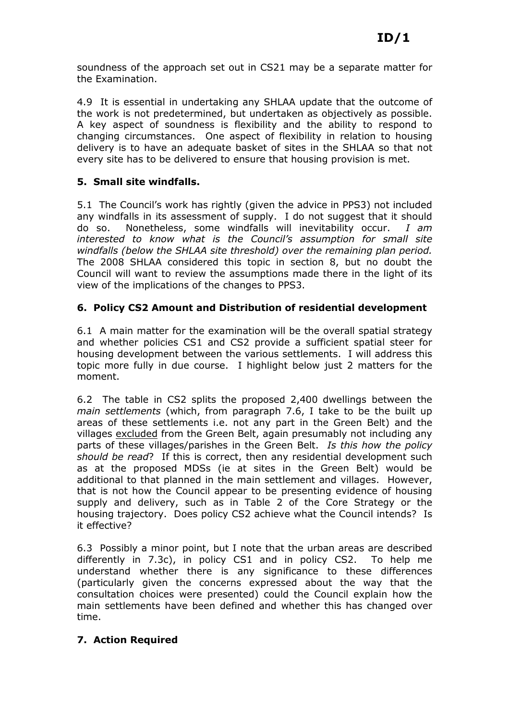soundness of the approach set out in CS21 may be a separate matter for the Examination.

4.9 It is essential in undertaking any SHLAA update that the outcome of the work is not predetermined, but undertaken as objectively as possible. A key aspect of soundness is flexibility and the ability to respond to changing circumstances. One aspect of flexibility in relation to housing delivery is to have an adequate basket of sites in the SHLAA so that not every site has to be delivered to ensure that housing provision is met.

## 5. Small site windfalls.

5.1 The Council's work has rightly (given the advice in PPS3) not included any windfalls in its assessment of supply. I do not suggest that it should do so. Nonetheless, some windfalls will inevitability occur. I am interested to know what is the Council's assumption for small site windfalls (below the SHLAA site threshold) over the remaining plan period. The 2008 SHLAA considered this topic in section 8, but no doubt the Council will want to review the assumptions made there in the light of its view of the implications of the changes to PPS3.

## 6. Policy CS2 Amount and Distribution of residential development

6.1 A main matter for the examination will be the overall spatial strategy and whether policies CS1 and CS2 provide a sufficient spatial steer for housing development between the various settlements. I will address this topic more fully in due course. I highlight below just 2 matters for the moment.

6.2 The table in CS2 splits the proposed 2,400 dwellings between the main settlements (which, from paragraph 7.6, I take to be the built up areas of these settlements i.e. not any part in the Green Belt) and the villages excluded from the Green Belt, again presumably not including any parts of these villages/parishes in the Green Belt. Is this how the policy should be read? If this is correct, then any residential development such as at the proposed MDSs (ie at sites in the Green Belt) would be additional to that planned in the main settlement and villages. However, that is not how the Council appear to be presenting evidence of housing supply and delivery, such as in Table 2 of the Core Strategy or the housing trajectory. Does policy CS2 achieve what the Council intends? Is it effective?

6.3 Possibly a minor point, but I note that the urban areas are described differently in 7.3c), in policy CS1 and in policy CS2. To help me understand whether there is any significance to these differences (particularly given the concerns expressed about the way that the consultation choices were presented) could the Council explain how the main settlements have been defined and whether this has changed over time.

## 7. Action Required